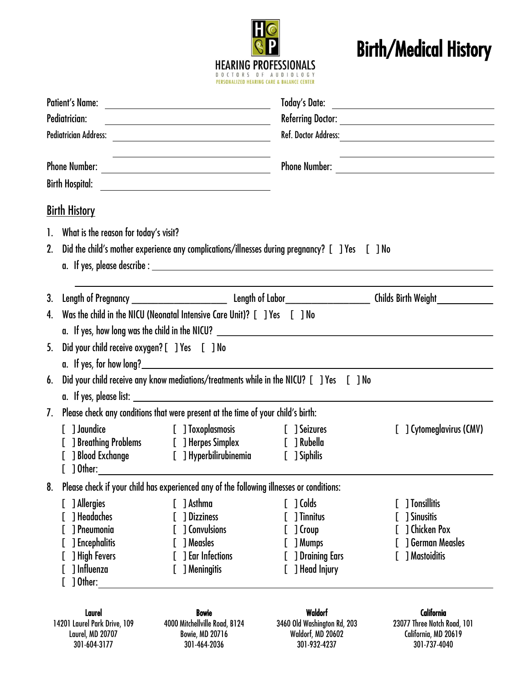

## Birth/Medical History

|                      | <b>Patient's Name:</b><br>Pediatrician:                                                                        | <u> 1980 - Johann Barn, fransk politik (d. 1980)</u>                                                        |                                                                                            |                                                                                                  |  |
|----------------------|----------------------------------------------------------------------------------------------------------------|-------------------------------------------------------------------------------------------------------------|--------------------------------------------------------------------------------------------|--------------------------------------------------------------------------------------------------|--|
| <b>Phone Number:</b> |                                                                                                                | <u> 1989 - Johann Barn, amerikansk politiker (d. 1989)</u>                                                  |                                                                                            |                                                                                                  |  |
|                      |                                                                                                                |                                                                                                             |                                                                                            |                                                                                                  |  |
|                      | <u>Birth History</u>                                                                                           |                                                                                                             |                                                                                            |                                                                                                  |  |
|                      | 1. What is the reason for today's visit?                                                                       |                                                                                                             |                                                                                            |                                                                                                  |  |
|                      | 2. Did the child's mother experience any complications/illnesses during pregnancy? [1] Yes [1] No              |                                                                                                             |                                                                                            |                                                                                                  |  |
|                      |                                                                                                                |                                                                                                             |                                                                                            |                                                                                                  |  |
| 3.                   |                                                                                                                |                                                                                                             |                                                                                            |                                                                                                  |  |
| 4.                   | Was the child in the NICU (Neonatal Intensive Care Unit)? [ ] Yes [ ] No                                       |                                                                                                             |                                                                                            |                                                                                                  |  |
| 5.                   | Did your child receive oxygen? [ ] Yes [ ] No                                                                  |                                                                                                             |                                                                                            |                                                                                                  |  |
| 6.                   | Did your child receive any know mediations/treatments while in the NICU? [ ] Yes [ ] No                        |                                                                                                             |                                                                                            |                                                                                                  |  |
| 7.                   | Please check any conditions that were present at the time of your child's birth:                               |                                                                                                             |                                                                                            |                                                                                                  |  |
|                      | [ ] Jaundice                                                                                                   | ] Blood Exchange [ ] Hyperbilirubinemia [ ] Siphilis                                                        |                                                                                            | [] Cytomeglavirus (CMV)                                                                          |  |
| 8.                   |                                                                                                                | Please check if your child has experienced any of the following illnesses or conditions:                    |                                                                                            |                                                                                                  |  |
|                      | ] Allergies<br>] Headaches<br>1 Pneumonia<br><b>J</b> Encephalitis<br>] High Fevers<br>] Influenza<br>] Other: | [ ] Asthma<br>] Dizziness<br><b>J</b> Convulsions<br>] Measles<br><b>J</b> Ear Infections<br>[ ] Meningitis | $[$ ] Colds<br>] Tinnitus<br>] Croup<br>] Mumps<br><b>J</b> Draining Ears<br>] Head Injury | 1 Tonsillitis<br><b>1 Sinusitis</b><br>1 Chicken Pox<br><b>1 German Measles</b><br>1 Mastoiditis |  |
|                      | Laurel<br>14201 Laurel Park Drive, 109<br>Laurel, MD 20707<br>301-604-3177                                     | <b>Bowie</b><br>4000 Mitchellville Road, B124<br><b>Bowie, MD 20716</b><br>301-464-2036                     | <b>Waldorf</b><br>3460 Old Washington Rd, 203<br>Waldorf, MD 20602<br>301-932-4237         | California<br>23077 Three Notch Road, 101<br>California, MD 20619<br>301-737-4040                |  |